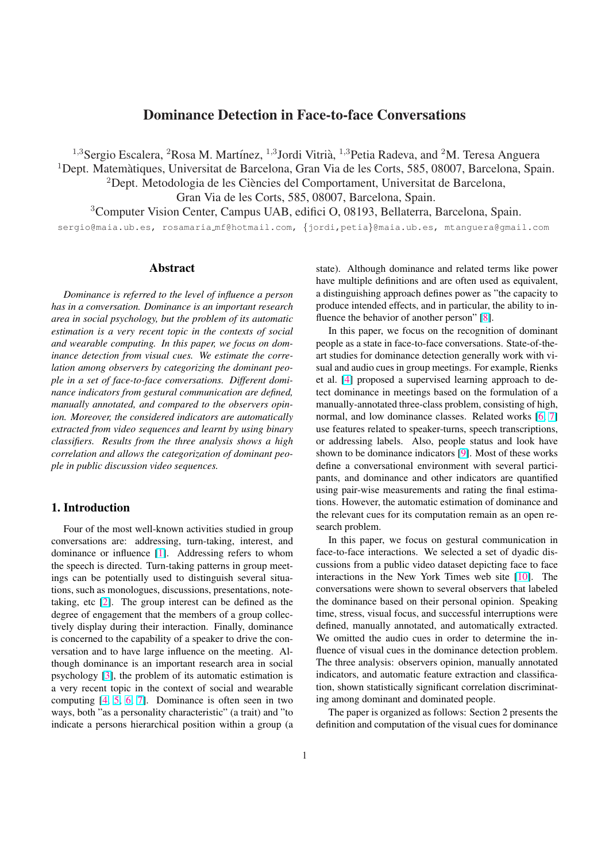# Dominance Detection in Face-to-face Conversations

<span id="page-0-0"></span><sup>1,3</sup>Sergio Escalera, <sup>2</sup>Rosa M. Martínez, <sup>1,3</sup>Jordi Vitrià, <sup>1,3</sup>Petia Radeva, and <sup>2</sup>M. Teresa Anguera

 $1$ Dept. Matemàtiques, Universitat de Barcelona, Gran Via de les Corts, 585, 08007, Barcelona, Spain.

 ${}^{2}$ Dept. Metodologia de les Ciències del Comportament, Universitat de Barcelona,

Gran Via de les Corts, 585, 08007, Barcelona, Spain.

<sup>3</sup>Computer Vision Center, Campus UAB, edifici O, 08193, Bellaterra, Barcelona, Spain.

sergio@maia.ub.es, rosamaria mf@hotmail.com, {jordi,petia}@maia.ub.es, mtanguera@gmail.com

### Abstract

*Dominance is referred to the level of influence a person has in a conversation. Dominance is an important research area in social psychology, but the problem of its automatic estimation is a very recent topic in the contexts of social and wearable computing. In this paper, we focus on dominance detection from visual cues. We estimate the correlation among observers by categorizing the dominant people in a set of face-to-face conversations. Different dominance indicators from gestural communication are defined, manually annotated, and compared to the observers opinion. Moreover, the considered indicators are automatically extracted from video sequences and learnt by using binary classifiers. Results from the three analysis shows a high correlation and allows the categorization of dominant people in public discussion video sequences.*

# 1. Introduction

Four of the most well-known activities studied in group conversations are: addressing, turn-taking, interest, and dominance or influence [1]. Addressing refers to whom the speech is directed. Turn-taking patterns in group meetings can be potentially used to distinguish several situations, such as monologues, discussions, presentations, notetaking, etc [2]. The gro[up](#page-5-0) interest can be defined as the degree of engagement that the members of a group collectively display during their interaction. Finally, dominance is concerned to the capability of a speaker to drive the conversation a[nd](#page-5-0) to have large influence on the meeting. Although dominance is an important research area in social psychology [3], the problem of its automatic estimation is a very recent topic in the context of social and wearable computing [4, 5, 6, 7]. Dominance is often seen in two ways, both "as a personality characteristic" (a trait) and "to indicate a p[ers](#page-5-0)ons hierarchical position within a group (a

state). Although dominance and related terms like power have multiple definitions and are often used as equivalent, a distinguishing approach defines power as "the capacity to produce intended effects, and in particular, the ability to influence the behavior of another person" [8].

In this paper, we focus on the recognition of dominant people as a state in face-to-face conversations. State-of-theart studies for dominance detection generally work with visual and audio cues in group meetings. F[or](#page-5-0) example, Rienks et al. [4] proposed a supervised learning approach to detect dominance in meetings based on the formulation of a manually-annotated three-class problem, consisting of high, normal, and low dominance classes. Related works [6, 7] use fe[atu](#page-5-0)res related to speaker-turns, speech transcriptions, or addressing labels. Also, people status and look have shown to be dominance indicators [9]. Most of these works define a conversational environment with several p[artici](#page-5-0)pants, and dominance and other indicators are quantified using pair-wise measurements and rating the final estimations. However, the automatic esti[ma](#page-5-0)tion of dominance and the relevant cues for its computation remain as an open research problem.

In this paper, we focus on gestural communication in face-to-face interactions. We selected a set of dyadic discussions from a public video dataset depicting face to face interactions in the New York Times web site [10]. The conversations were shown to several observers that labeled the dominance based on their personal opinion. Speaking time, stress, visual focus, and successful interruptions were defined, manually annotated, and automatically [ext](#page-5-0)racted. We omitted the audio cues in order to determine the influence of visual cues in the dominance detection problem. The three analysis: observers opinion, manually annotated indicators, and automatic feature extraction and classification, shown statistically significant correlation discriminating among dominant and dominated people.

The paper is organized as follows: Section 2 presents the definition and computation of the visual cues for dominance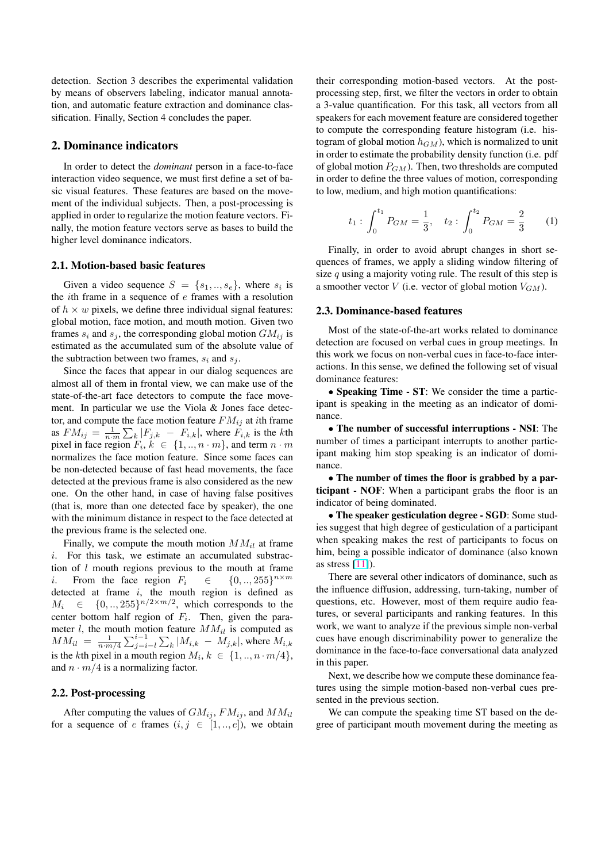detection. Section 3 describes the experimental validation by means of observers labeling, indicator manual annotation, and automatic feature extraction and dominance classification. Finally, Section 4 concludes the paper.

#### 2. Dominance indicators

In order to detect the *dominant* person in a face-to-face interaction video sequence, we must first define a set of basic visual features. These features are based on the movement of the individual subjects. Then, a post-processing is applied in order to regularize the motion feature vectors. Finally, the motion feature vectors serve as bases to build the higher level dominance indicators.

#### 2.1. Motion-based basic features

Given a video sequence  $S = \{s_1, ..., s_e\}$ , where  $s_i$  is the *i*th frame in a sequence of  $e$  frames with a resolution of  $h \times w$  pixels, we define three individual signal features: global motion, face motion, and mouth motion. Given two frames  $s_i$  and  $s_j$ , the corresponding global motion  $GM_{ij}$  is estimated as the accumulated sum of the absolute value of the subtraction between two frames,  $s_i$  and  $s_j$ .

Since the faces that appear in our dialog sequences are almost all of them in frontal view, we can make use of the state-of-the-art face detectors to compute the face movement. In particular we use the Viola & Jones face detector, and compute the face motion feature  $FM_{ij}$  at ith frame as  $FM_{ij} = \frac{1}{n \cdot m} \sum_{k} |F_{j,k} - F_{i,k}|$ , where  $F_{i,k}$  is the kth pixel in face region  $F_i, k \in \{1, ..., n \cdot m\}$ , and term  $n \cdot m$ normalizes the face motion feature. Since some faces can be non-detected because of fast head movements, the face detected at the previous frame is also considered as the new one. On the other hand, in case of having false positives (that is, more than one detected face by speaker), the one with the minimum distance in respect to the face detected at the previous frame is the selected one.

Finally, we compute the mouth motion  $MM_{il}$  at frame i. For this task, we estimate an accumulated substraction of  $l$  mouth regions previous to the mouth at frame i. From the face region  $F_i \in \mathbb{C}$  $\{0, ..., 255\}^{n \times m}$ detected at frame i, the mouth region is defined as  $M_i \in \{0,..,255\}^{n/2 \times m/2}$ , which corresponds to the center bottom half region of  $F_i$ . Then, given the parameter l, the mouth motion feature  $MM_{il}$  is computed as  $MM_{il} = \frac{1}{n \cdot m/4}$  $\sum_{j=i-l}^{i-1}$  $\stackrel{1}{\overline{\phantom{.}}\phantom{.}}^{\phantom{.}}$  $\mathcal{L}_k | M_{i,k} - M_{j,k} |$ , where  $M_{i,k}$ is the kth pixel in a mouth region  $M_i, k \in \{1, ..., n \cdot m/4\},\$ and  $n \cdot m/4$  is a normalizing factor.

#### 2.2. Post-processing

After computing the values of  $GM_{ij}$ ,  $FM_{ij}$ , and  $MM_{il}$ for a sequence of e frames  $(i, j \in [1, \dots, e])$ , we obtain their corresponding motion-based vectors. At the postprocessing step, first, we filter the vectors in order to obtain a 3-value quantification. For this task, all vectors from all speakers for each movement feature are considered together to compute the corresponding feature histogram (i.e. histogram of global motion  $h_{GM}$ ), which is normalized to unit in order to estimate the probability density function (i.e. pdf of global motion  $P_{GM}$ ). Then, two thresholds are computed in order to define the three values of motion, corresponding to low, medium, and high motion quantifications:

$$
t_1: \int_0^{t_1} P_{GM} = \frac{1}{3}, \quad t_2: \int_0^{t_2} P_{GM} = \frac{2}{3} \qquad (1)
$$

Finally, in order to avoid abrupt changes in short sequences of frames, we apply a sliding window filtering of size  $q$  using a majority voting rule. The result of this step is a smoother vector  $V$  (i.e. vector of global motion  $V_{GM}$ ).

#### 2.3. Dominance-based features

Most of the state-of-the-art works related to dominance detection are focused on verbal cues in group meetings. In this work we focus on non-verbal cues in face-to-face interactions. In this sense, we defined the following set of visual dominance features:

• Speaking Time - ST: We consider the time a participant is speaking in the meeting as an indicator of dominance.

• The number of successful interruptions - NSI: The number of times a participant interrupts to another participant making him stop speaking is an indicator of dominance.

• The number of times the floor is grabbed by a participant - NOF: When a participant grabs the floor is an indicator of being dominated.

• The speaker gesticulation degree - SGD: Some studies suggest that high degree of gesticulation of a participant when speaking makes the rest of participants to focus on him, being a possible indicator of dominance (also known as stress  $[11]$ .

There are several other indicators of dominance, such as the influence diffusion, addressing, turn-taking, number of questions, etc. However, most of them require audio features, or [sev](#page-5-0)eral participants and ranking features. In this work, we want to analyze if the previous simple non-verbal cues have enough discriminability power to generalize the dominance in the face-to-face conversational data analyzed in this paper.

Next, we describe how we compute these dominance features using the simple motion-based non-verbal cues presented in the previous section.

We can compute the speaking time ST based on the degree of participant mouth movement during the meeting as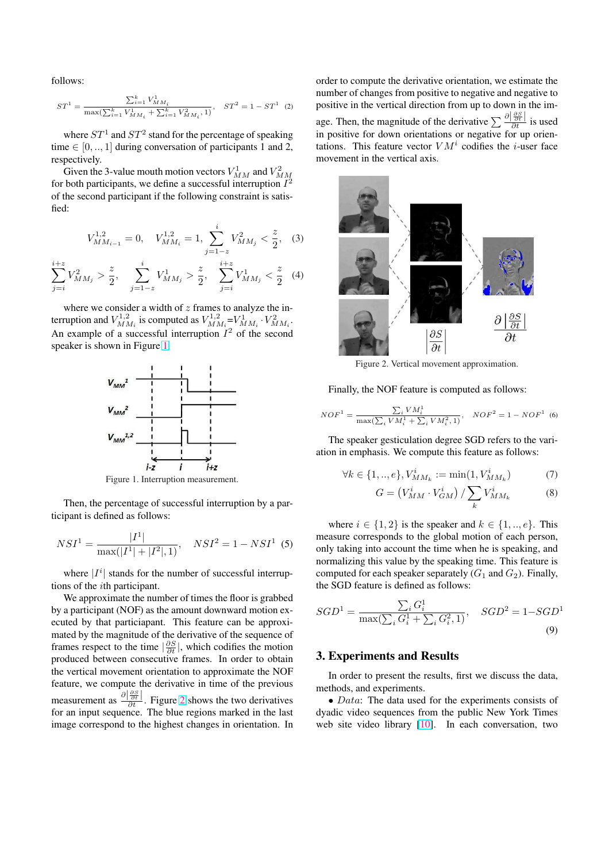<span id="page-2-0"></span>follows:

 $j = i$ 

$$
ST^1 = \frac{\sum_{i=1}^k V_{MM_i}^1}{\max(\sum_{i=1}^k V_{MM_i}^1 + \sum_{i=1}^k V_{MM_i}^2, 1)}, \quad ST^2 = 1 - ST^1 \quad (2)
$$

where  $ST^1$  and  $ST^2$  stand for the percentage of speaking time  $\in [0, ..., 1]$  during conversation of participants 1 and 2, respectively.

Given the 3-value mouth motion vectors  $V_{MM}^1$  and  $V_{MM}^2$ <br>for both participants, we define a successful interruption  $I^2$ of the second participant if the following constraint is satisfied:

$$
V_{MM_{i-1}}^{1,2} = 0, \quad V_{MM_i}^{1,2} = 1, \sum_{j=1-z}^{i} V_{MM_j}^2 < \frac{z}{2}, \quad (3)
$$
\n
$$
\sum_{j=1-z}^{i+z} V_{MM_j}^2 > \frac{z}{2}, \quad \sum_{j=1-z}^{i} V_{MM_j}^1 < \frac{z}{2} \quad (4)
$$

 $j = i$ 

where we consider a width of  $z$  frames to analyze the interruption and  $V^{1,2}_{MM_i}$  is computed as  $V^{1,2}_{MM_i} = V^1_{MM_i} \cdot V^2_{MM_i}$ . An example of a successful interruption  $I^2$  of the second speaker is shown in Figure 1.

 $j=1-z$ 



Figure 1. Interruption measurement.

Then, the percentage of successful interruption by a participant is defined as follows:

$$
NSI^{1} = \frac{|I^{1}|}{\max(|I^{1}| + |I^{2}|, 1)}, \quad NSI^{2} = 1 - NSI^{1} \tag{5}
$$

where  $|I^i|$  stands for the number of successful interruptions of the ith participant.

We approximate the number of times the floor is grabbed by a participant (NOF) as the amount downward motion executed by that particiapant. This feature can be approximated by the magnitude of the derivative of the sequence of frames respect to the time  $\left|\frac{\partial S}{\partial t}\right|$ , which codifies the motion produced between consecutive frames. In order to obtain the vertical movement orientation to approximate the NOF feature, we compute the derivative in time of the previous measurement as  $\frac{\partial |\frac{\partial S}{\partial t}|}{\partial t}$ . Figure 2 shows the two derivatives for an input sequence. The blue regions marked in the last image correspond to the highest changes in orientation. In

order to compute the derivative orientation, we estimate the number of changes from positive to negative and negative to positive in the vertical direction from up to down in the image. Then, the magnitude of the derivative  $\sum_{\substack{\partial \mid \partial \xi \\ \partial t}} \frac{\partial |\partial s}{\partial t}$  is used in positive for down orientations or negative for up orientations. This feature vector  $VM<sup>i</sup>$  codifies the *i*-user face movement in the vertical axis.



Figure 2. Vertical movement approximation.

Finally, the NOF feature is computed as follows:

$$
NOF^{1} = \frac{\sum_{i} VM_{i}^{1}}{\max(\sum_{i} VM_{i}^{1} + \sum_{i} VM_{i}^{2}, 1)}, \quad NOF^{2} = 1 - NOF^{1}
$$
 (6)

The speaker gesticulation degree SGD refers to the variation in emphasis. We compute this feature as follows:

$$
\forall k \in \{1, ..., e\}, V_{MM_k}^i := \min(1, V_{MM_k}^i)
$$
(7)

$$
G = \left(V_{MM}^{i} \cdot V_{GM}^{i}\right) / \sum_{k} V_{MM_{k}}^{i}
$$
 (8)

where  $i \in \{1, 2\}$  is the speaker and  $k \in \{1, ..., e\}$ . This measure corresponds to the global motion of each person, only taking into account the time when he is speaking, and normalizing this value by the speaking time. This feature is computed for each speaker separately  $(G_1 \text{ and } G_2)$ . Finally, the SGD feature is defined as follows:

$$
SGD^{1} = \frac{\sum_{i} G_{i}^{1}}{\max(\sum_{i} G_{i}^{1} + \sum_{i} G_{i}^{2}, 1)}, \quad SGD^{2} = 1 - SGD^{1}
$$
\n(9)

#### 3. Experiments and Results

In order to present the results, first we discuss the data, methods, and experiments.

• *Data*: The data used for the experiments consists of dyadic video sequences from the public New York Times web site video library [10]. In each conversation, two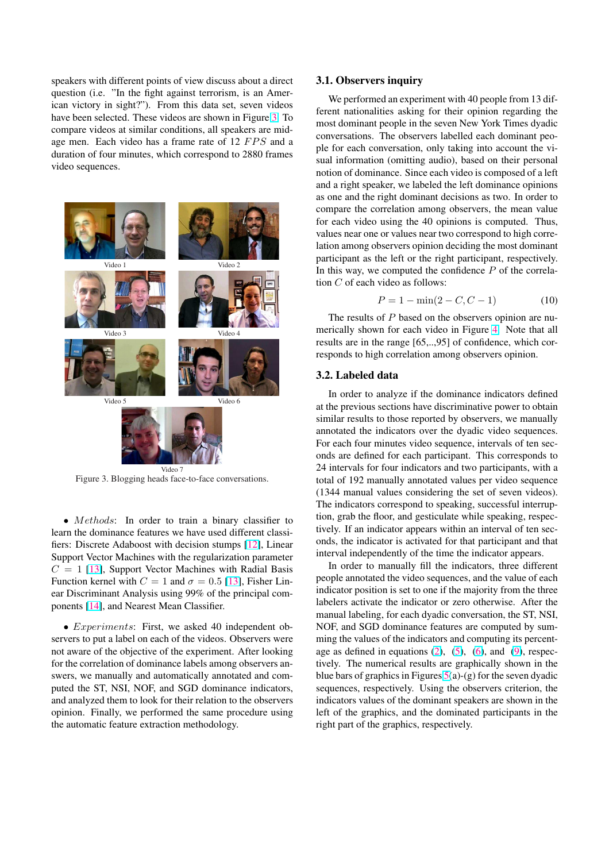<span id="page-3-0"></span>speakers with different points of view discuss about a direct question (i.e. "In the fight against terrorism, is an American victory in sight?"). From this data set, seven videos have been selected. These videos are shown in Figure 3. To compare videos at similar conditions, all speakers are midage men. Each video has a frame rate of 12 FPS and a duration of four minutes, which correspond to 2880 frames video sequences.



Figure 3. Blogging heads face-to-face conversations.

• *Methods*: In order to train a binary classifier to learn the dominance features we have used different classifiers: Discrete Adaboost with decision stumps [12], Linear Support Vector Machines with the regularization parameter  $C = 1$  [13], Support Vector Machines with Radial Basis Function kernel with  $C = 1$  and  $\sigma = 0.5$  [13], Fisher Linear Discriminant Analysis using 99% of the pri[ncip](#page-5-0)al components [14], and Nearest Mean Classifier.

• *Ex[per](#page-5-0)iments*: First, we asked 40 [inde](#page-5-0)pendent observers to put a label on each of the videos. Observers were not awar[e of](#page-5-0) the objective of the experiment. After looking for the correlation of dominance labels among observers answers, we manually and automatically annotated and computed the ST, NSI, NOF, and SGD dominance indicators, and analyzed them to look for their relation to the observers opinion. Finally, we performed the same procedure using the automatic feature extraction methodology.

#### 3.1. Observers inquiry

We performed an experiment with 40 people from 13 different nationalities asking for their opinion regarding the most dominant people in the seven New York Times dyadic conversations. The observers labelled each dominant people for each conversation, only taking into account the visual information (omitting audio), based on their personal notion of dominance. Since each video is composed of a left and a right speaker, we labeled the left dominance opinions as one and the right dominant decisions as two. In order to compare the correlation among observers, the mean value for each video using the 40 opinions is computed. Thus, values near one or values near two correspond to high correlation among observers opinion deciding the most dominant participant as the left or the right participant, respectively. In this way, we computed the confidence  $P$  of the correlation C of each video as follows:

$$
P = 1 - \min(2 - C, C - 1) \tag{10}
$$

The results of P based on the observers opinion are numerically shown for each video in Figure 4. Note that all results are in the range [65,..,95] of confidence, which corresponds to high correlation among observers opinion.

#### 3.2. Labeled data

In order to analyze if the dominance indicators defined at the previous sections have discriminative power to obtain similar results to those reported by observers, we manually annotated the indicators over the dyadic video sequences. For each four minutes video sequence, intervals of ten seconds are defined for each participant. This corresponds to 24 intervals for four indicators and two participants, with a total of 192 manually annotated values per video sequence (1344 manual values considering the set of seven videos). The indicators correspond to speaking, successful interruption, grab the floor, and gesticulate while speaking, respectively. If an indicator appears within an interval of ten seconds, the indicator is activated for that participant and that interval independently of the time the indicator appears.

In order to manually fill the indicators, three different people annotated the video sequences, and the value of each indicator position is set to one if the majority from the three labelers activate the indicator or zero otherwise. After the manual labeling, for each dyadic conversation, the ST, NSI, NOF, and SGD dominance features are computed by summing the values of the indicators and computing its percentage as defined in equations  $(2)$ ,  $(5)$ ,  $(6)$ , and  $(9)$ , respectively. The numerical results are graphically shown in the blue bars of graphics in Figures  $5(a)-(g)$  for the seven dyadic sequences, respectively. Using the observers criterion, the indicators values of the dom[ina](#page-2-0)nt [sp](#page-2-0)ea[ker](#page-2-0)s are s[ho](#page-2-0)wn in the left of the graphics, and the dominated participants in the right part of the graphics, resp[ect](#page-4-0)ively.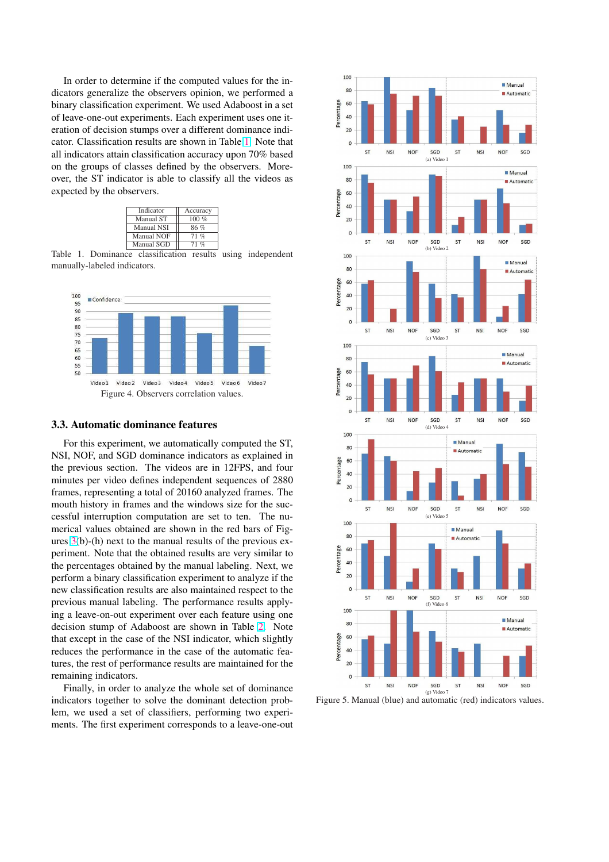<span id="page-4-0"></span>In order to determine if the computed values for the indicators generalize the observers opinion, we performed a binary classification experiment. We used Adaboost in a set of leave-one-out experiments. Each experiment uses one iteration of decision stumps over a different dominance indicator. Classification results are shown in Table 1. Note that all indicators attain classification accuracy upon 70% based on the groups of classes defined by the observers. Moreover, the ST indicator is able to classify all the videos as expected by the observers.

| Indicator         | Accuracy |
|-------------------|----------|
| Manual ST         | $100\%$  |
| <b>Manual NSI</b> | 86%      |
| <b>Manual NOF</b> | $71\%$   |
| Manual SGD        | $71\%$   |

Table 1. Dominance classification results using independent manually-labeled indicators.



### 3.3. Automatic dominance features

For this experiment, we automatically computed the ST, NSI, NOF, and SGD dominance indicators as explained in the previous section. The videos are in 12FPS, and four minutes per video defines independent sequences of 2880 frames, representing a total of 20160 analyzed frames. The mouth history in frames and the windows size for the successful interruption computation are set to ten. The numerical values obtained are shown in the red bars of Figures 3(b)-(h) next to the manual results of the previous experiment. Note that the obtained results are very similar to the percentages obtained by the manual labeling. Next, we perform a binary classification experiment to analyze if the new [cl](#page-3-0)assification results are also maintained respect to the previous manual labeling. The performance results applying a leave-on-out experiment over each feature using one decision stump of Adaboost are shown in Table 2. Note that except in the case of the NSI indicator, which slightly reduces the performance in the case of the automatic features, the rest of performance results are maintained for the remaining indicators.

Finally, in order to analyze the whole set of dominance indicators together to solve the dominant detection problem, we used a set of classifiers, performing two experiments. The first experiment corresponds to a leave-one-out



Figure 5. Manual (blue) and automatic (red) indicators values.